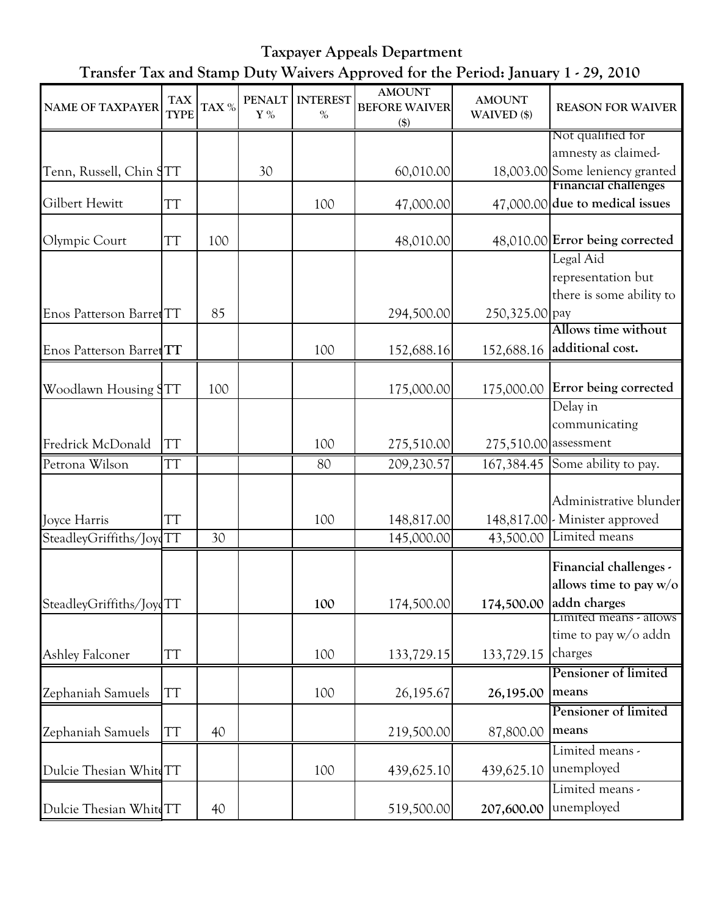Taxpayer Appeals Department Transfer Tax and Stamp Duty Waivers Approved for the Period: January 1 - 29, 2010

| <b>NAME OF TAXPAYER</b>  | <b>TAX</b><br><b>TYPE</b> | TAX % | <b>PENALT</b><br>$\mathbf{Y}$ % | <b>INTEREST</b><br>$\%$ | <b>AMOUNT</b><br><b>BEFORE WAIVER</b><br>$(\$)$ | <b>AMOUNT</b><br>WAIVED (\$) | <b>REASON FOR WAIVER</b>                                                                                |
|--------------------------|---------------------------|-------|---------------------------------|-------------------------|-------------------------------------------------|------------------------------|---------------------------------------------------------------------------------------------------------|
|                          |                           |       |                                 |                         |                                                 |                              | Not qualified for                                                                                       |
|                          |                           |       |                                 |                         |                                                 |                              | amnesty as claimed-                                                                                     |
| Tenn, Russell, Chin STT  |                           |       | 30                              |                         | 60,010.00                                       |                              | 18,003.00 Some leniency granted                                                                         |
|                          |                           |       |                                 |                         |                                                 |                              | <b>Financial challenges</b>                                                                             |
| Gilbert Hewitt           | TT                        |       |                                 | 100                     | 47,000.00                                       |                              | 47,000.00 due to medical issues                                                                         |
| Olympic Court            | ТT                        | 100   |                                 |                         | 48,010.00                                       |                              | 48,010.00 Error being corrected                                                                         |
|                          |                           |       |                                 |                         |                                                 |                              | Legal Aid                                                                                               |
|                          |                           |       |                                 |                         |                                                 |                              | representation but                                                                                      |
|                          |                           |       |                                 |                         |                                                 |                              | there is some ability to                                                                                |
| Enos Patterson Barret TT |                           | 85    |                                 |                         | 294,500.00                                      | 250,325.00 pay               |                                                                                                         |
|                          |                           |       |                                 |                         |                                                 |                              | Allows time without                                                                                     |
| Enos Patterson Barret TT |                           |       |                                 | 100                     | 152,688.16                                      | 152,688.16                   | additional cost.                                                                                        |
| Woodlawn Housing STT     |                           | 100   |                                 |                         | 175,000.00                                      | 175,000.00                   | Error being corrected                                                                                   |
|                          |                           |       |                                 |                         |                                                 |                              | Delay in                                                                                                |
|                          |                           |       |                                 |                         |                                                 |                              | communicating                                                                                           |
| Fredrick McDonald        | ТT                        |       |                                 | 100                     | 275,510.00                                      | 275,510.00 assessment        |                                                                                                         |
| Petrona Wilson           | TT                        |       |                                 | 80                      | 209,230.57                                      | 167,384.45                   | Some ability to pay.                                                                                    |
| Joyce Harris             | TT                        |       |                                 | 100                     | 148,817.00                                      |                              | Administrative blunder<br>148,817.00 - Minister approved                                                |
| SteadleyGriffiths/JoydTT |                           | 30    |                                 |                         | 145,000.00                                      | 43,500.00                    | Limited means                                                                                           |
| SteadleyGriffiths/JoyqTT |                           |       |                                 | 100                     | 174,500.00                                      |                              | Financial challenges -<br>allows time to pay $w/o$<br>174,500.00 addn charges<br>Limited means - allows |
| <b>Ashley Falconer</b>   | TT                        |       |                                 | 100                     | 133,729.15                                      | 133,729.15                   | time to pay w/o addn<br>charges                                                                         |
|                          |                           |       |                                 |                         |                                                 |                              | Pensioner of limited                                                                                    |
| Zephaniah Samuels        | TT                        |       |                                 | 100                     | 26,195.67                                       | 26,195.00                    | means                                                                                                   |
|                          |                           |       |                                 |                         |                                                 |                              | Pensioner of limited                                                                                    |
| Zephaniah Samuels        | TT                        | 40    |                                 |                         | 219,500.00                                      | 87,800.00                    | means                                                                                                   |
|                          |                           |       |                                 |                         |                                                 |                              | Limited means -                                                                                         |
| Dulcie Thesian WhiteTT   |                           |       |                                 | 100                     | 439,625.10                                      | 439,625.10                   | unemployed                                                                                              |
| Dulcie Thesian WhiteTT   |                           | 40    |                                 |                         | 519,500.00                                      | 207,600.00                   | Limited means -<br>unemployed                                                                           |